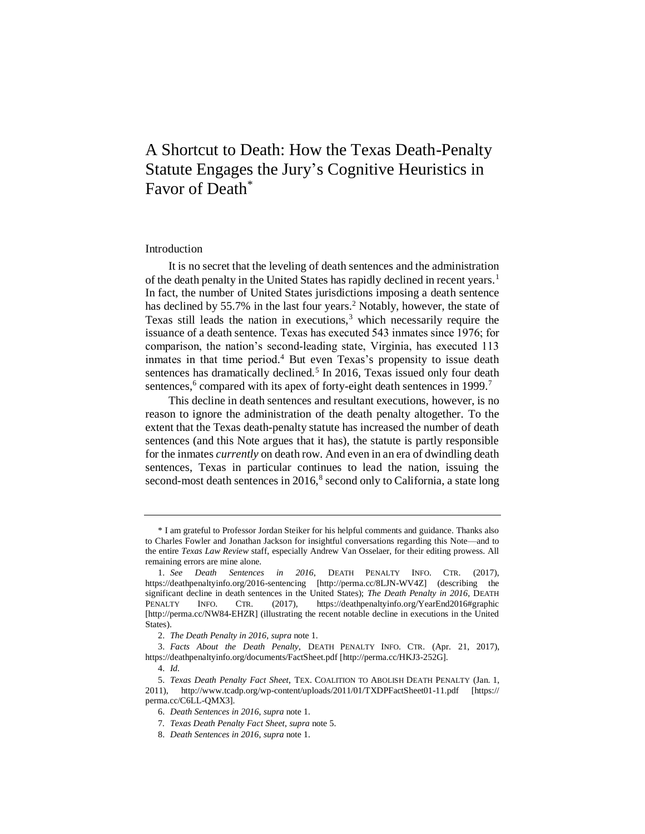# A Shortcut to Death: How the Texas Death-Penalty Statute Engages the Jury's Cognitive Heuristics in Favor of Death\*

## Introduction

<span id="page-0-0"></span>It is no secret that the leveling of death sentences and the administration of the death penalty in the United States has rapidly declined in recent years.<sup>1</sup> In fact, the number of United States jurisdictions imposing a death sentence has declined by 55.7% in the last four years.<sup>2</sup> Notably, however, the state of Texas still leads the nation in executions,  $3$  which necessarily require the issuance of a death sentence. Texas has executed 543 inmates since 1976; for comparison, the nation's second-leading state, Virginia, has executed 113 inmates in that time period. <sup>4</sup> But even Texas's propensity to issue death sentences has dramatically declined.<sup>5</sup> In 2016, Texas issued only four death sentences,<sup>6</sup> compared with its apex of forty-eight death sentences in 1999.<sup>7</sup>

<span id="page-0-1"></span>This decline in death sentences and resultant executions, however, is no reason to ignore the administration of the death penalty altogether. To the extent that the Texas death-penalty statute has increased the number of death sentences (and this Note argues that it has), the statute is partly responsible for the inmates *currently* on death row. And even in an era of dwindling death sentences, Texas in particular continues to lead the nation, issuing the second-most death sentences in  $2016$ ,<sup>8</sup> second only to California, a state long

<sup>\*</sup> I am grateful to Professor Jordan Steiker for his helpful comments and guidance. Thanks also to Charles Fowler and Jonathan Jackson for insightful conversations regarding this Note—and to the entire *Texas Law Review* staff, especially Andrew Van Osselaer, for their editing prowess. All remaining errors are mine alone.

<sup>1.</sup> *See Death Sentences in 2016*, DEATH PENALTY INFO. CTR. (2017), https://deathpenaltyinfo.org/2016-sentencing [http://perma.cc/8LJN-WV4Z] (describing the significant decline in death sentences in the United States); *The Death Penalty in 2016*, DEATH PENALTY INFO. CTR. (2017), https://deathpenaltyinfo.org/YearEnd2016#graphic [http://perma.cc/NW84-EHZR] (illustrating the recent notable decline in executions in the United States).

<sup>2.</sup> *The Death Penalty in 2016*, *supra* not[e 1.](#page-0-0)

<sup>3.</sup> *Facts About the Death Penalty*, DEATH PENALTY INFO. CTR. (Apr. 21, 2017), https://deathpenaltyinfo.org/documents/FactSheet.pdf [http://perma.cc/HKJ3-252G].

<sup>4.</sup> *Id.*

<sup>5.</sup> *Texas Death Penalty Fact Sheet*, TEX. COALITION TO ABOLISH DEATH PENALTY (Jan. 1, 2011), http://www.tcadp.org/wp-content/uploads/2011/01/TXDPFactSheet01-11.pdf [https:// perma.cc/C6LL-QMX3].

<sup>6.</sup> *Death Sentences in 2016*, *supra* not[e 1.](#page-0-0)

<sup>7</sup>*. Texas Death Penalty Fact Sheet*, *supra* note [5.](#page-0-1)

<sup>8.</sup> *Death Sentences in 2016*, *supra* not[e 1.](#page-0-0)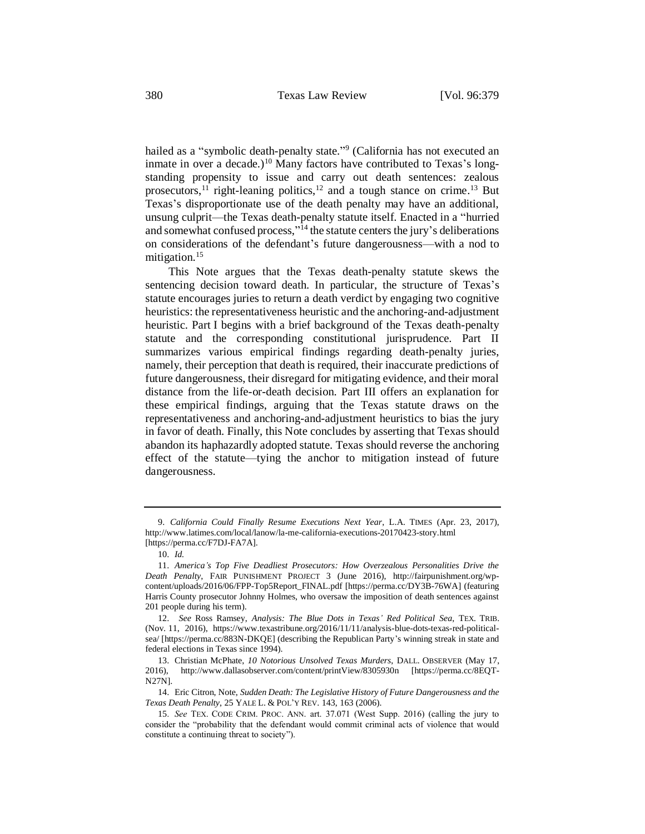hailed as a "symbolic death-penalty state."<sup>9</sup> (California has not executed an inmate in over a decade.)<sup>10</sup> Many factors have contributed to Texas's longstanding propensity to issue and carry out death sentences: zealous prosecutors,<sup>11</sup> right-leaning politics,<sup>12</sup> and a tough stance on crime.<sup>13</sup> But Texas's disproportionate use of the death penalty may have an additional, unsung culprit—the Texas death-penalty statute itself. Enacted in a "hurried and somewhat confused process," <sup>14</sup> the statute centers the jury's deliberations on considerations of the defendant's future dangerousness—with a nod to mitigation.<sup>15</sup>

<span id="page-1-0"></span>This Note argues that the Texas death-penalty statute skews the sentencing decision toward death. In particular, the structure of Texas's statute encourages juries to return a death verdict by engaging two cognitive heuristics: the representativeness heuristic and the anchoring-and-adjustment heuristic. Part I begins with a brief background of the Texas death-penalty statute and the corresponding constitutional jurisprudence. Part II summarizes various empirical findings regarding death-penalty juries, namely, their perception that death is required, their inaccurate predictions of future dangerousness, their disregard for mitigating evidence, and their moral distance from the life-or-death decision. Part III offers an explanation for these empirical findings, arguing that the Texas statute draws on the representativeness and anchoring-and-adjustment heuristics to bias the jury in favor of death. Finally, this Note concludes by asserting that Texas should abandon its haphazardly adopted statute. Texas should reverse the anchoring effect of the statute—tying the anchor to mitigation instead of future dangerousness.

<sup>9.</sup> *California Could Finally Resume Executions Next Year*, L.A. TIMES (Apr. 23, 2017), http://www.latimes.com/local/lanow/la-me-california-executions-20170423-story.html [https://perma.cc/F7DJ-FA7A].

<sup>10.</sup> *Id.*

<sup>11.</sup> *America's Top Five Deadliest Prosecutors: How Overzealous Personalities Drive the Death Penalty*, FAIR PUNISHMENT PROJECT 3 (June 2016), http://fairpunishment.org/wpcontent/uploads/2016/06/FPP-Top5Report\_FINAL.pdf [https://perma.cc/DY3B-76WA] (featuring Harris County prosecutor Johnny Holmes, who oversaw the imposition of death sentences against 201 people during his term).

<sup>12.</sup> *See* Ross Ramsey, *Analysis: The Blue Dots in Texas' Red Political Sea*, TEX. TRIB. (Nov. 11, 2016), https://www.texastribune.org/2016/11/11/analysis-blue-dots-texas-red-politicalsea/ [https://perma.cc/883N-DKQE] (describing the Republican Party's winning streak in state and federal elections in Texas since 1994).

<sup>13.</sup> Christian McPhate, *10 Notorious Unsolved Texas Murders*, DALL. OBSERVER (May 17, 2016), http://www.dallasobserver.com/content/printView/8305930n [https://perma.cc/8EQT-N27N].

<sup>14.</sup> Eric Citron, Note, *Sudden Death: The Legislative History of Future Dangerousness and the Texas Death Penalty*, 25 YALE L. & POL'Y REV. 143, 163 (2006).

<sup>15.</sup> *See* TEX. CODE CRIM. PROC. ANN. art. 37.071 (West Supp. 2016) (calling the jury to consider the "probability that the defendant would commit criminal acts of violence that would constitute a continuing threat to society").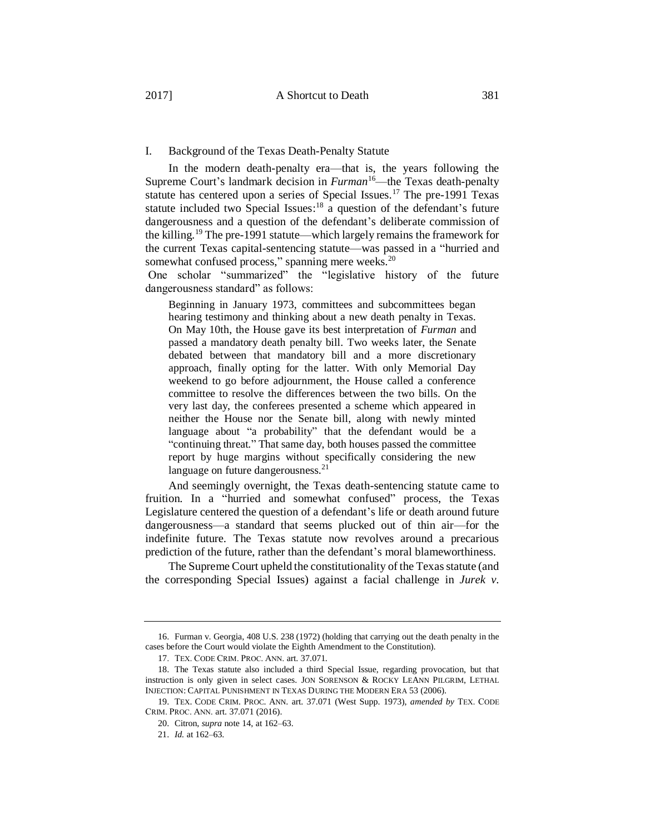### I. Background of the Texas Death-Penalty Statute

In the modern death-penalty era—that is, the years following the Supreme Court's landmark decision in *Furman*<sup>16</sup>—the Texas death-penalty statute has centered upon a series of Special Issues.<sup>17</sup> The pre-1991 Texas statute included two Special Issues:<sup>18</sup> a question of the defendant's future dangerousness and a question of the defendant's deliberate commission of the killing.<sup>19</sup> The pre-1991 statute—which largely remains the framework for the current Texas capital-sentencing statute—was passed in a "hurried and somewhat confused process," spanning mere weeks.<sup>20</sup>

One scholar "summarized" the "legislative history of the future dangerousness standard" as follows:

Beginning in January 1973, committees and subcommittees began hearing testimony and thinking about a new death penalty in Texas. On May 10th, the House gave its best interpretation of *Furman* and passed a mandatory death penalty bill. Two weeks later, the Senate debated between that mandatory bill and a more discretionary approach, finally opting for the latter. With only Memorial Day weekend to go before adjournment, the House called a conference committee to resolve the differences between the two bills. On the very last day, the conferees presented a scheme which appeared in neither the House nor the Senate bill, along with newly minted language about "a probability" that the defendant would be a "continuing threat." That same day, both houses passed the committee report by huge margins without specifically considering the new language on future dangerousness. $21$ 

And seemingly overnight, the Texas death-sentencing statute came to fruition. In a "hurried and somewhat confused" process, the Texas Legislature centered the question of a defendant's life or death around future dangerousness—a standard that seems plucked out of thin air—for the indefinite future. The Texas statute now revolves around a precarious prediction of the future, rather than the defendant's moral blameworthiness.

The Supreme Court upheld the constitutionality of the Texas statute (and the corresponding Special Issues) against a facial challenge in *Jurek v.* 

<sup>16.</sup> Furman v. Georgia, 408 U.S. 238 (1972) (holding that carrying out the death penalty in the cases before the Court would violate the Eighth Amendment to the Constitution).

<sup>17.</sup> TEX. CODE CRIM. PROC. ANN. art. 37.071.

<sup>18.</sup> The Texas statute also included a third Special Issue, regarding provocation, but that instruction is only given in select cases. JON SORENSON & ROCKY LEANN PILGRIM, LETHAL INJECTION: CAPITAL PUNISHMENT IN TEXAS DURING THE MODERN ERA 53 (2006).

<sup>19.</sup> TEX. CODE CRIM. PROC. ANN. art. 37.071 (West Supp. 1973), *amended by* TEX. CODE CRIM. PROC. ANN. art. 37.071 (2016).

<sup>20.</sup> Citron, *supra* note [14,](#page-1-0) at 162–63.

<sup>21.</sup> *Id.* at 162–63.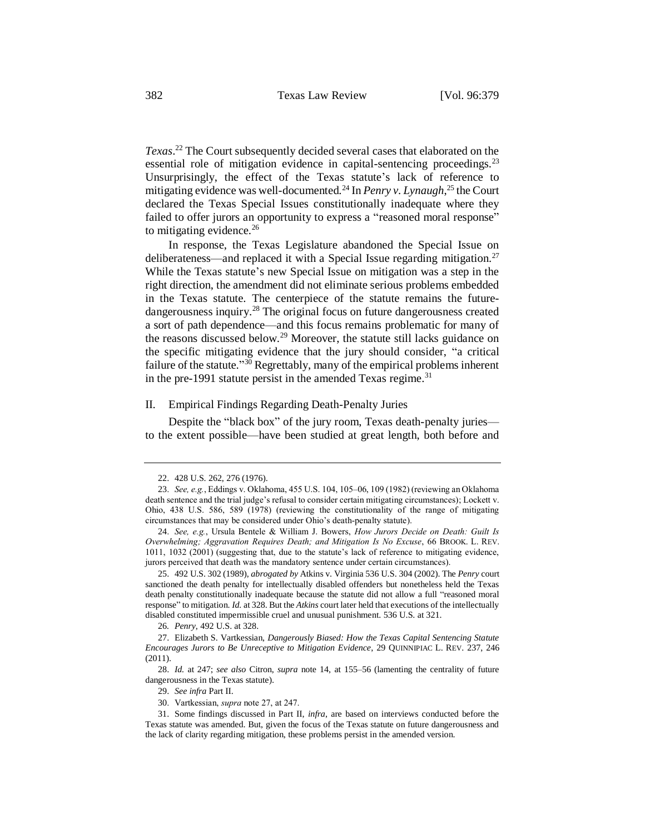*Texas*. <sup>22</sup> The Court subsequently decided several cases that elaborated on the essential role of mitigation evidence in capital-sentencing proceedings.<sup>23</sup> Unsurprisingly, the effect of the Texas statute's lack of reference to mitigating evidence was well-documented.<sup>24</sup> In *Penry v. Lynaugh*, <sup>25</sup> the Court declared the Texas Special Issues constitutionally inadequate where they failed to offer jurors an opportunity to express a "reasoned moral response" to mitigating evidence. $26$ 

In response, the Texas Legislature abandoned the Special Issue on deliberateness—and replaced it with a Special Issue regarding mitigation.<sup>27</sup> While the Texas statute's new Special Issue on mitigation was a step in the right direction, the amendment did not eliminate serious problems embedded in the Texas statute. The centerpiece of the statute remains the futuredangerousness inquiry.<sup>28</sup> The original focus on future dangerousness created a sort of path dependence—and this focus remains problematic for many of the reasons discussed below.<sup>29</sup> Moreover, the statute still lacks guidance on the specific mitigating evidence that the jury should consider, "a critical failure of the statute."<sup>30</sup> Regrettably, many of the empirical problems inherent in the pre-1991 statute persist in the amended Texas regime.<sup>31</sup>

# II. Empirical Findings Regarding Death-Penalty Juries

Despite the "black box" of the jury room, Texas death-penalty juries to the extent possible—have been studied at great length, both before and

<sup>22.</sup> 428 U.S. 262, 276 (1976).

<sup>23.</sup> *See, e.g.*, Eddings v. Oklahoma, 455 U.S. 104, 105–06, 109 (1982) (reviewing an Oklahoma death sentence and the trial judge's refusal to consider certain mitigating circumstances); Lockett v. Ohio, 438 U.S. 586, 589 (1978) (reviewing the constitutionality of the range of mitigating circumstances that may be considered under Ohio's death-penalty statute).

<sup>24.</sup> *See, e.g.*, Ursula Bentele & William J. Bowers, *How Jurors Decide on Death: Guilt Is Overwhelming; Aggravation Requires Death; and Mitigation Is No Excuse*, 66 BROOK. L. REV. 1011, 1032 (2001) (suggesting that, due to the statute's lack of reference to mitigating evidence, jurors perceived that death was the mandatory sentence under certain circumstances).

<sup>25.</sup> 492 U.S. 302 (1989), *abrogated by* Atkins v. Virginia 536 U.S. 304 (2002). The *Penry* court sanctioned the death penalty for intellectually disabled offenders but nonetheless held the Texas death penalty constitutionally inadequate because the statute did not allow a full "reasoned moral response" to mitigation. *Id.* at 328. But the *Atkins* court later held that executions of the intellectually disabled constituted impermissible cruel and unusual punishment. 536 U.S. at 321.

<sup>26</sup>*. Penry*, 492 U.S. at 328.

<sup>27.</sup> Elizabeth S. Vartkessian, *Dangerously Biased: How the Texas Capital Sentencing Statute Encourages Jurors to Be Unreceptive to Mitigation Evidence*, 29 QUINNIPIAC L. REV. 237, 246 (2011).

<sup>28.</sup> *Id.* at 247; *see also* Citron, *supra* note [14,](#page-1-0) at 155–56 (lamenting the centrality of future dangerousness in the Texas statute).

<sup>29.</sup> *See infra* Part II.

<sup>30.</sup> Vartkessian, *supra* note 27, at 247.

<sup>31.</sup> Some findings discussed in Part II, *infra*, are based on interviews conducted before the Texas statute was amended. But, given the focus of the Texas statute on future dangerousness and the lack of clarity regarding mitigation, these problems persist in the amended version.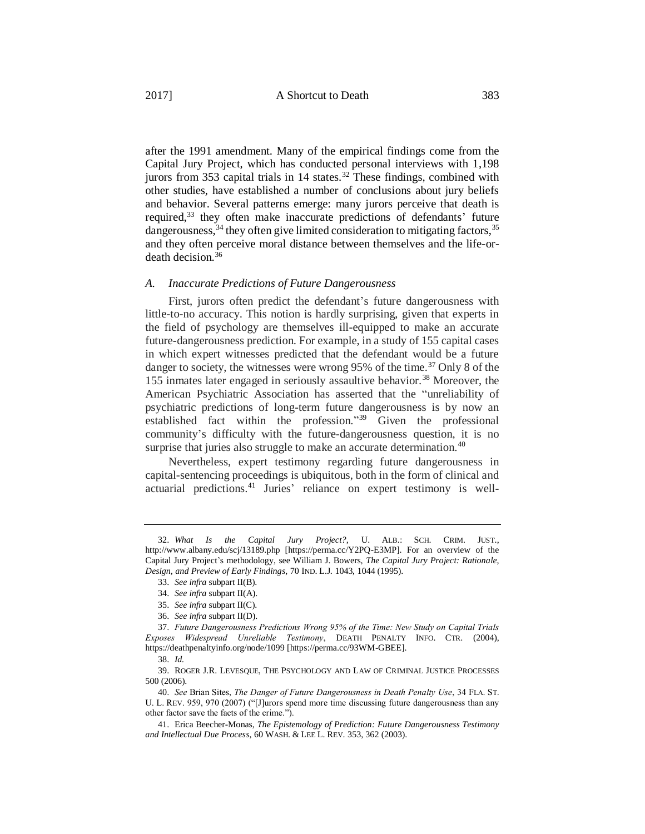after the 1991 amendment. Many of the empirical findings come from the Capital Jury Project, which has conducted personal interviews with 1,198 jurors from 353 capital trials in 14 states.<sup>32</sup> These findings, combined with other studies, have established a number of conclusions about jury beliefs and behavior. Several patterns emerge: many jurors perceive that death is required,<sup>33</sup> they often make inaccurate predictions of defendants' future dangerousness,  $34$  they often give limited consideration to mitigating factors,  $35$ and they often perceive moral distance between themselves and the life-ordeath decision.<sup>36</sup>

## *A. Inaccurate Predictions of Future Dangerousness*

First, jurors often predict the defendant's future dangerousness with little-to-no accuracy. This notion is hardly surprising, given that experts in the field of psychology are themselves ill-equipped to make an accurate future-dangerousness prediction. For example, in a study of 155 capital cases in which expert witnesses predicted that the defendant would be a future danger to society, the witnesses were wrong  $95\%$  of the time.<sup>37</sup> Only 8 of the 155 inmates later engaged in seriously assaultive behavior.<sup>38</sup> Moreover, the American Psychiatric Association has asserted that the "unreliability of psychiatric predictions of long-term future dangerousness is by now an established fact within the profession."<sup>39</sup> Given the professional community's difficulty with the future-dangerousness question, it is no surprise that juries also struggle to make an accurate determination.<sup>40</sup>

<span id="page-4-0"></span>Nevertheless, expert testimony regarding future dangerousness in capital-sentencing proceedings is ubiquitous, both in the form of clinical and actuarial predictions.<sup>41</sup> Juries' reliance on expert testimony is well-

<sup>32.</sup> *What Is the Capital Jury Project?*, U. ALB.: SCH. CRIM. JUST., http://www.albany.edu/scj/13189.php [https://perma.cc/Y2PQ-E3MP]. For an overview of the Capital Jury Project's methodology, see William J. Bowers, *The Capital Jury Project: Rationale, Design, and Preview of Early Findings*, 70 IND. L.J. 1043, 1044 (1995).

<sup>33.</sup> *See infra* subpart II(B).

<sup>34.</sup> *See infra* subpart II(A).

<sup>35.</sup> *See infra* subpart II(C).

<sup>36.</sup> *See infra* subpart II(D).

<sup>37.</sup> *Future Dangerousness Predictions Wrong 95% of the Time: New Study on Capital Trials Exposes Widespread Unreliable Testimony*, DEATH PENALTY INFO. CTR. (2004), https://deathpenaltyinfo.org/node/1099 [https://perma.cc/93WM-GBEE].

<sup>38.</sup> *Id.*

<sup>39.</sup> ROGER J.R. LEVESQUE, THE PSYCHOLOGY AND LAW OF CRIMINAL JUSTICE PROCESSES 500 (2006).

<sup>40.</sup> *See* Brian Sites, *The Danger of Future Dangerousness in Death Penalty Use*, 34 FLA. ST. U. L. REV. 959, 970 (2007) ("[J]urors spend more time discussing future dangerousness than any other factor save the facts of the crime.").

<sup>41.</sup> Erica Beecher-Monas, *The Epistemology of Prediction: Future Dangerousness Testimony and Intellectual Due Process*, 60 WASH. & LEE L. REV. 353, 362 (2003).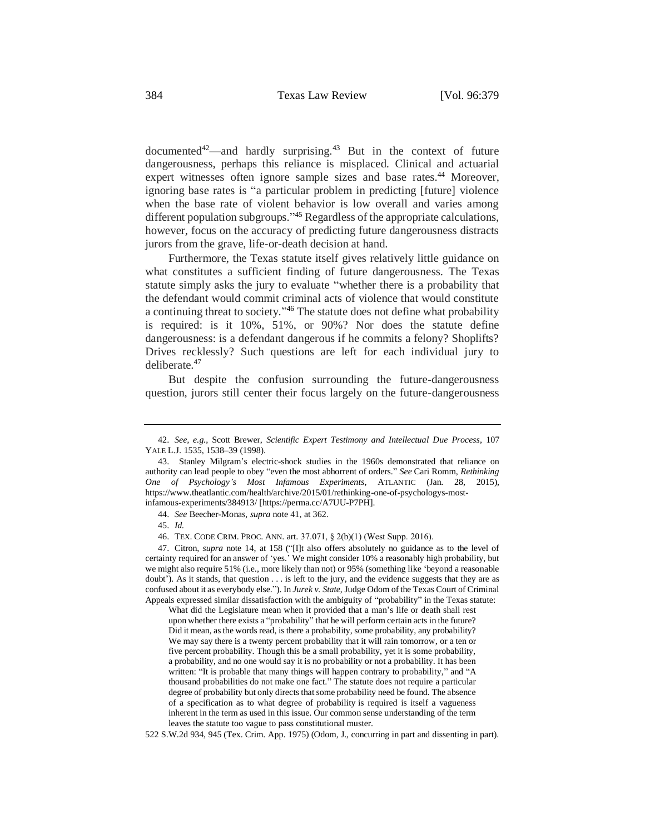documented<sup>42</sup>—and hardly surprising.<sup>43</sup> But in the context of future dangerousness, perhaps this reliance is misplaced. Clinical and actuarial expert witnesses often ignore sample sizes and base rates.<sup>44</sup> Moreover, ignoring base rates is "a particular problem in predicting [future] violence when the base rate of violent behavior is low overall and varies among different population subgroups."<sup>45</sup> Regardless of the appropriate calculations, however, focus on the accuracy of predicting future dangerousness distracts jurors from the grave, life-or-death decision at hand.

Furthermore, the Texas statute itself gives relatively little guidance on what constitutes a sufficient finding of future dangerousness. The Texas statute simply asks the jury to evaluate "whether there is a probability that the defendant would commit criminal acts of violence that would constitute a continuing threat to society." <sup>46</sup> The statute does not define what probability is required: is it 10%, 51%, or 90%? Nor does the statute define dangerousness: is a defendant dangerous if he commits a felony? Shoplifts? Drives recklessly? Such questions are left for each individual jury to deliberate.<sup>47</sup>

But despite the confusion surrounding the future-dangerousness question, jurors still center their focus largely on the future-dangerousness

What did the Legislature mean when it provided that a man's life or death shall rest upon whether there exists a "probability" that he will perform certain acts in the future? Did it mean, as the words read, is there a probability, some probability, any probability? We may say there is a twenty percent probability that it will rain tomorrow, or a ten or five percent probability. Though this be a small probability, yet it is some probability, a probability, and no one would say it is no probability or not a probability. It has been written: "It is probable that many things will happen contrary to probability," and "A thousand probabilities do not make one fact." The statute does not require a particular degree of probability but only directs that some probability need be found. The absence of a specification as to what degree of probability is required is itself a vagueness inherent in the term as used in this issue. Our common sense understanding of the term leaves the statute too vague to pass constitutional muster.

522 S.W.2d 934, 945 (Tex. Crim. App. 1975) (Odom, J., concurring in part and dissenting in part).

<sup>42.</sup> *See, e.g.*, Scott Brewer, *Scientific Expert Testimony and Intellectual Due Process*, 107 YALE L.J. 1535, 1538–39 (1998).

<sup>43.</sup> Stanley Milgram's electric-shock studies in the 1960s demonstrated that reliance on authority can lead people to obey "even the most abhorrent of orders." *See* Cari Romm, *Rethinking One of Psychology's Most Infamous Experiments*, ATLANTIC (Jan. 28, 2015), https://www.theatlantic.com/health/archive/2015/01/rethinking-one-of-psychologys-mostinfamous-experiments/384913/ [https://perma.cc/A7UU-P7PH].

<sup>44.</sup> *See* Beecher-Monas, *supra* note [41,](#page-4-0) at 362.

<sup>45.</sup> *Id.*

<sup>46.</sup> TEX. CODE CRIM. PROC. ANN. art. 37.071, § 2(b)(1) (West Supp. 2016).

<sup>47.</sup> Citron, *supra* note 14, at 158 ("[I]t also offers absolutely no guidance as to the level of certainty required for an answer of 'yes.' We might consider 10% a reasonably high probability, but we might also require 51% (i.e., more likely than not) or 95% (something like 'beyond a reasonable doubt'). As it stands, that question . . . is left to the jury, and the evidence suggests that they are as confused about it as everybody else."). In *Jurek v. State*, Judge Odom of the Texas Court of Criminal Appeals expressed similar dissatisfaction with the ambiguity of "probability" in the Texas statute: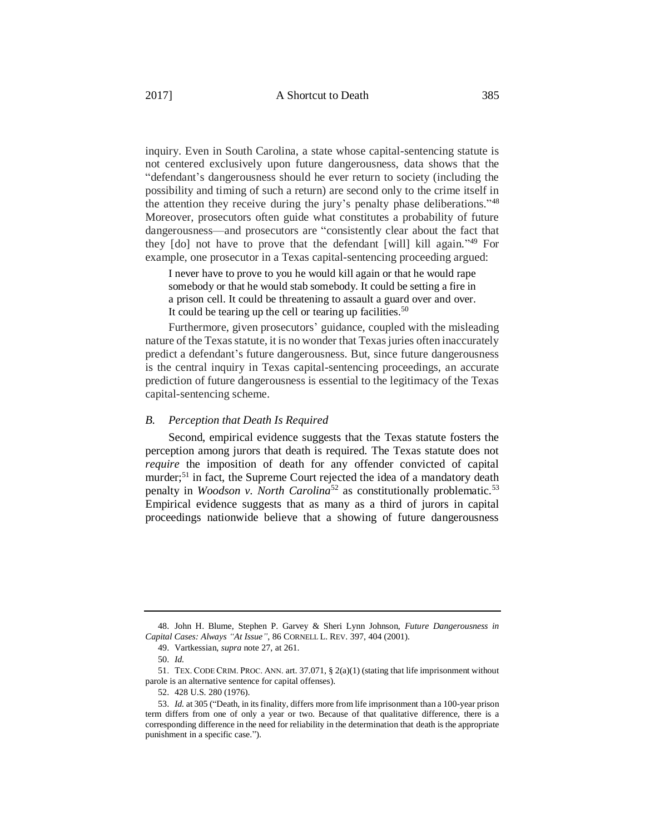inquiry. Even in South Carolina, a state whose capital-sentencing statute is not centered exclusively upon future dangerousness, data shows that the "defendant's dangerousness should he ever return to society (including the possibility and timing of such a return) are second only to the crime itself in the attention they receive during the jury's penalty phase deliberations."<sup>48</sup> Moreover, prosecutors often guide what constitutes a probability of future dangerousness—and prosecutors are "consistently clear about the fact that they [do] not have to prove that the defendant [will] kill again." <sup>49</sup> For example, one prosecutor in a Texas capital-sentencing proceeding argued:

I never have to prove to you he would kill again or that he would rape somebody or that he would stab somebody. It could be setting a fire in a prison cell. It could be threatening to assault a guard over and over. It could be tearing up the cell or tearing up facilities.<sup>50</sup>

Furthermore, given prosecutors' guidance, coupled with the misleading nature of the Texas statute, it is no wonder that Texas juries often inaccurately predict a defendant's future dangerousness. But, since future dangerousness is the central inquiry in Texas capital-sentencing proceedings, an accurate prediction of future dangerousness is essential to the legitimacy of the Texas capital-sentencing scheme.

#### *B. Perception that Death Is Required*

Second, empirical evidence suggests that the Texas statute fosters the perception among jurors that death is required. The Texas statute does not *require* the imposition of death for any offender convicted of capital murder;<sup>51</sup> in fact, the Supreme Court rejected the idea of a mandatory death penalty in *Woodson v. North Carolina*<sup>52</sup> as constitutionally problematic.<sup>53</sup> Empirical evidence suggests that as many as a third of jurors in capital proceedings nationwide believe that a showing of future dangerousness

<sup>48.</sup> John H. Blume, Stephen P. Garvey & Sheri Lynn Johnson, *Future Dangerousness in Capital Cases: Always "At Issue"*, 86 CORNELL L. REV. 397, 404 (2001).

<sup>49.</sup> Vartkessian, *supra* note 27, at 261.

<sup>50.</sup> *Id.*

<sup>51.</sup> TEX. CODE CRIM. PROC. ANN. art. 37.071, § 2(a)(1) (stating that life imprisonment without parole is an alternative sentence for capital offenses).

<sup>52.</sup> 428 U.S. 280 (1976).

<sup>53.</sup> *Id.* at 305 ("Death, in its finality, differs more from life imprisonment than a 100-year prison term differs from one of only a year or two. Because of that qualitative difference, there is a corresponding difference in the need for reliability in the determination that death is the appropriate punishment in a specific case.").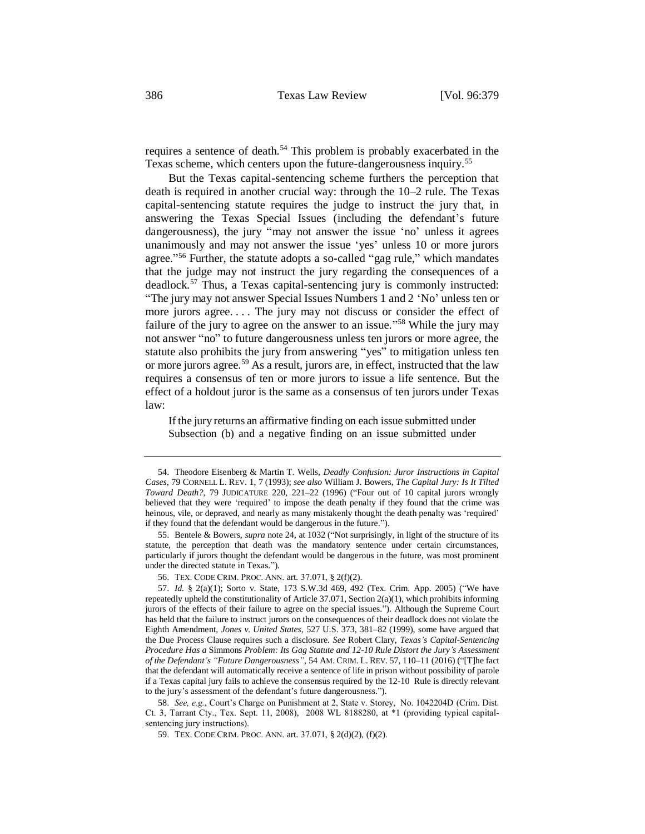requires a sentence of death.<sup>54</sup> This problem is probably exacerbated in the Texas scheme, which centers upon the future-dangerousness inquiry.<sup>55</sup>

But the Texas capital-sentencing scheme furthers the perception that death is required in another crucial way: through the 10–2 rule. The Texas capital-sentencing statute requires the judge to instruct the jury that, in answering the Texas Special Issues (including the defendant's future dangerousness), the jury "may not answer the issue 'no' unless it agrees unanimously and may not answer the issue 'yes' unless 10 or more jurors agree." <sup>56</sup> Further, the statute adopts a so-called "gag rule," which mandates that the judge may not instruct the jury regarding the consequences of a deadlock.<sup>57</sup> Thus, a Texas capital-sentencing jury is commonly instructed: "The jury may not answer Special Issues Numbers 1 and 2 'No' unless ten or more jurors agree. . . . The jury may not discuss or consider the effect of failure of the jury to agree on the answer to an issue."<sup>58</sup> While the jury may not answer "no" to future dangerousness unless ten jurors or more agree, the statute also prohibits the jury from answering "yes" to mitigation unless ten or more jurors agree.<sup>59</sup> As a result, jurors are, in effect, instructed that the law requires a consensus of ten or more jurors to issue a life sentence. But the effect of a holdout juror is the same as a consensus of ten jurors under Texas law:

If the jury returns an affirmative finding on each issue submitted under Subsection (b) and a negative finding on an issue submitted under

58. *See, e.g.*, Court's Charge on Punishment at 2, State v. Storey, No. 1042204D (Crim. Dist. Ct. 3, Tarrant Cty., Tex. Sept. 11, 2008), 2008 WL 8188280, at \*1 (providing typical capitalsentencing jury instructions).

59. TEX. CODE CRIM. PROC. ANN. art. 37.071, § 2(d)(2), (f)(2).

<sup>54.</sup> Theodore Eisenberg & Martin T. Wells, *Deadly Confusion: Juror Instructions in Capital Cases*, 79 CORNELL L. REV. 1, 7 (1993); *see also* William J. Bowers, *The Capital Jury: Is It Tilted Toward Death?*, 79 JUDICATURE 220, 221–22 (1996) ("Four out of 10 capital jurors wrongly believed that they were 'required' to impose the death penalty if they found that the crime was heinous, vile, or depraved, and nearly as many mistakenly thought the death penalty was 'required' if they found that the defendant would be dangerous in the future.").

<sup>55.</sup> Bentele & Bowers, *supra* note 24, at 1032 ("Not surprisingly, in light of the structure of its statute, the perception that death was the mandatory sentence under certain circumstances, particularly if jurors thought the defendant would be dangerous in the future, was most prominent under the directed statute in Texas.").

<sup>56.</sup> TEX. CODE CRIM. PROC. ANN. art. 37.071, § 2(f)(2).

<sup>57.</sup> *Id.* § 2(a)(1); Sorto v. State, 173 S.W.3d 469, 492 (Tex. Crim. App. 2005) ("We have repeatedly upheld the constitutionality of Article 37.071, Section 2(a)(1), which prohibits informing jurors of the effects of their failure to agree on the special issues."). Although the Supreme Court has held that the failure to instruct jurors on the consequences of their deadlock does not violate the Eighth Amendment, *Jones v. United States*, 527 U.S. 373, 381–82 (1999), some have argued that the Due Process Clause requires such a disclosure. *See* Robert Clary, *Texas's Capital-Sentencing Procedure Has a* Simmons *Problem: Its Gag Statute and 12-10 Rule Distort the Jury's Assessment of the Defendant's "Future Dangerousness"*, 54 AM. CRIM. L. REV. 57, 110–11 (2016) ("[T]he fact that the defendant will automatically receive a sentence of life in prison without possibility of parole if a Texas capital jury fails to achieve the consensus required by the 12-10 Rule is directly relevant to the jury's assessment of the defendant's future dangerousness.").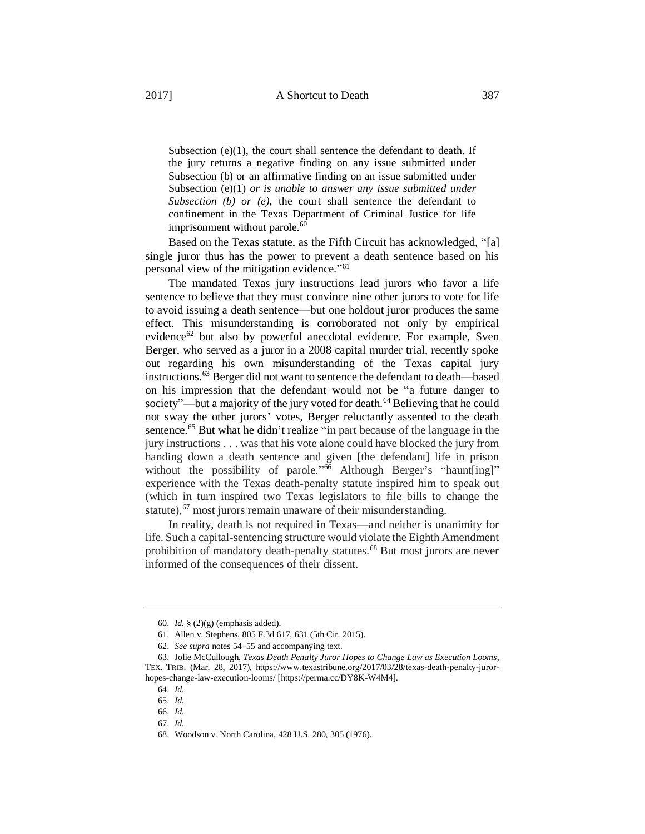Subsection  $(e)(1)$ , the court shall sentence the defendant to death. If the jury returns a negative finding on any issue submitted under Subsection (b) or an affirmative finding on an issue submitted under Subsection (e)(1) *or is unable to answer any issue submitted under Subsection (b) or (e)*, the court shall sentence the defendant to confinement in the Texas Department of Criminal Justice for life imprisonment without parole. $60$ 

Based on the Texas statute, as the Fifth Circuit has acknowledged, "[a] single juror thus has the power to prevent a death sentence based on his personal view of the mitigation evidence." 61

The mandated Texas jury instructions lead jurors who favor a life sentence to believe that they must convince nine other jurors to vote for life to avoid issuing a death sentence—but one holdout juror produces the same effect. This misunderstanding is corroborated not only by empirical evidence<sup>62</sup> but also by powerful anecdotal evidence. For example, Sven Berger, who served as a juror in a 2008 capital murder trial, recently spoke out regarding his own misunderstanding of the Texas capital jury instructions.<sup>63</sup> Berger did not want to sentence the defendant to death—based on his impression that the defendant would not be "a future danger to society"—but a majority of the jury voted for death.<sup>64</sup> Believing that he could not sway the other jurors' votes, Berger reluctantly assented to the death sentence.<sup>65</sup> But what he didn't realize "in part because of the language in the jury instructions . . . was that his vote alone could have blocked the jury from handing down a death sentence and given [the defendant] life in prison without the possibility of parole."<sup>66</sup> Although Berger's "haunt[ing]" experience with the Texas death-penalty statute inspired him to speak out (which in turn inspired two Texas legislators to file bills to change the statute),<sup>67</sup> most jurors remain unaware of their misunderstanding.

In reality, death is not required in Texas—and neither is unanimity for life. Such a capital-sentencing structure would violate the Eighth Amendment prohibition of mandatory death-penalty statutes.<sup>68</sup> But most jurors are never informed of the consequences of their dissent.

<sup>60.</sup> *Id.* § (2)(g) (emphasis added).

<sup>61.</sup> Allen v. Stephens, 805 F.3d 617, 631 (5th Cir. 2015).

<sup>62.</sup> *See supra* notes 54–55 and accompanying text.

<sup>63.</sup> Jolie McCullough, *Texas Death Penalty Juror Hopes to Change Law as Execution Looms*, TEX. TRIB. (Mar. 28, 2017), https://www.texastribune.org/2017/03/28/texas-death-penalty-jurorhopes-change-law-execution-looms/ [https://perma.cc/DY8K-W4M4].

<sup>64.</sup> *Id.*

<sup>65.</sup> *Id.*

<sup>66.</sup> *Id.*

<sup>67.</sup> *Id.*

<sup>68.</sup> Woodson v. North Carolina, 428 U.S. 280, 305 (1976).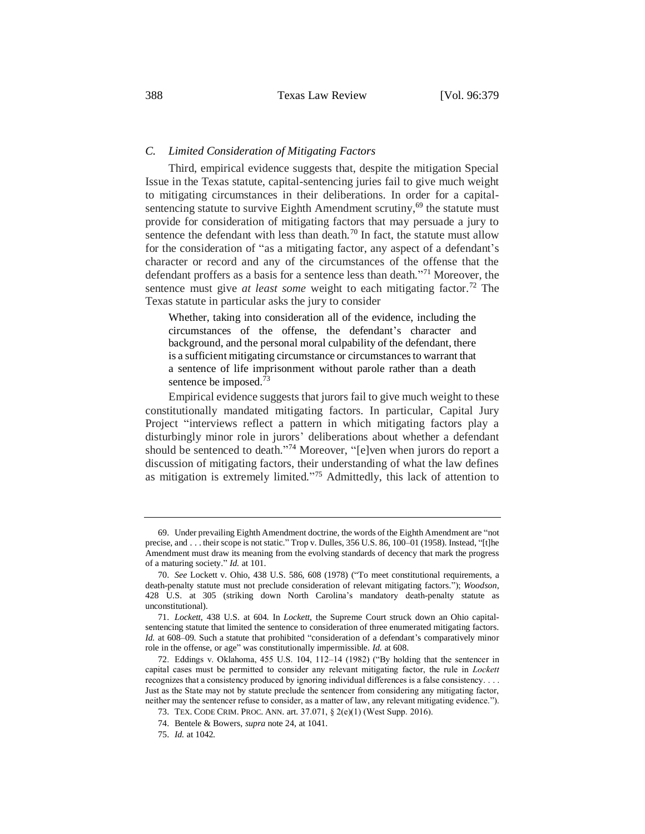### *C. Limited Consideration of Mitigating Factors*

Third, empirical evidence suggests that, despite the mitigation Special Issue in the Texas statute, capital-sentencing juries fail to give much weight to mitigating circumstances in their deliberations. In order for a capitalsentencing statute to survive Eighth Amendment scrutiny,<sup>69</sup> the statute must provide for consideration of mitigating factors that may persuade a jury to sentence the defendant with less than death.<sup>70</sup> In fact, the statute must allow for the consideration of "as a mitigating factor, any aspect of a defendant's character or record and any of the circumstances of the offense that the defendant proffers as a basis for a sentence less than death." <sup>71</sup> Moreover, the sentence must give *at least some* weight to each mitigating factor.<sup>72</sup> The Texas statute in particular asks the jury to consider

Whether, taking into consideration all of the evidence, including the circumstances of the offense, the defendant's character and background, and the personal moral culpability of the defendant, there is a sufficient mitigating circumstance or circumstances to warrant that a sentence of life imprisonment without parole rather than a death sentence be imposed.<sup>73</sup>

Empirical evidence suggests that jurors fail to give much weight to these constitutionally mandated mitigating factors. In particular, Capital Jury Project "interviews reflect a pattern in which mitigating factors play a disturbingly minor role in jurors' deliberations about whether a defendant should be sentenced to death."<sup>74</sup> Moreover, "[e]ven when jurors do report a discussion of mitigating factors, their understanding of what the law defines as mitigation is extremely limited."<sup>75</sup> Admittedly, this lack of attention to

<sup>69.</sup> Under prevailing Eighth Amendment doctrine, the words of the Eighth Amendment are "not precise, and . . . their scope is not static." Trop v. Dulles, 356 U.S. 86, 100–01 (1958). Instead, "[t]he Amendment must draw its meaning from the evolving standards of decency that mark the progress of a maturing society." *Id.* at 101.

<sup>70.</sup> *See* Lockett v. Ohio, 438 U.S. 586, 608 (1978) ("To meet constitutional requirements, a death-penalty statute must not preclude consideration of relevant mitigating factors."); *Woodson*, 428 U.S. at 305 (striking down North Carolina's mandatory death-penalty statute as unconstitutional).

<sup>71.</sup> *Lockett*, 438 U.S. at 604. In *Lockett*, the Supreme Court struck down an Ohio capitalsentencing statute that limited the sentence to consideration of three enumerated mitigating factors. *Id.* at 608–09. Such a statute that prohibited "consideration of a defendant's comparatively minor role in the offense, or age" was constitutionally impermissible. *Id.* at 608.

<sup>72.</sup> Eddings v. Oklahoma, 455 U.S. 104, 112–14 (1982) ("By holding that the sentencer in capital cases must be permitted to consider any relevant mitigating factor, the rule in *Lockett* recognizes that a consistency produced by ignoring individual differences is a false consistency. . . . Just as the State may not by statute preclude the sentencer from considering any mitigating factor, neither may the sentencer refuse to consider, as a matter of law, any relevant mitigating evidence.").

<sup>73.</sup> TEX. CODE CRIM. PROC. ANN. art. 37.071, § 2(e)(1) (West Supp. 2016).

<sup>74.</sup> Bentele & Bowers, *supra* note 24, at 1041.

<sup>75.</sup> *Id.* at 1042.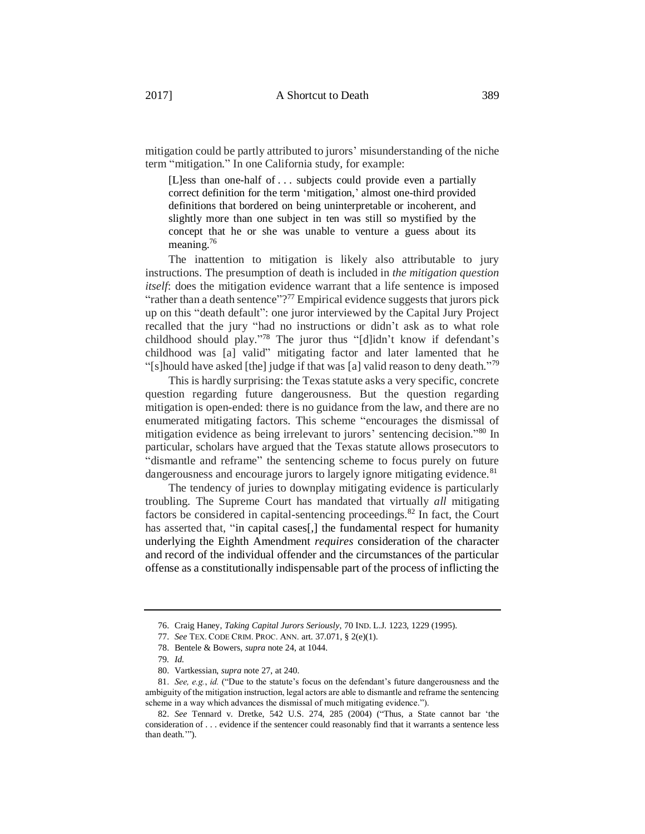mitigation could be partly attributed to jurors' misunderstanding of the niche term "mitigation." In one California study, for example:

[L]ess than one-half of . . . subjects could provide even a partially correct definition for the term 'mitigation,' almost one-third provided definitions that bordered on being uninterpretable or incoherent, and slightly more than one subject in ten was still so mystified by the concept that he or she was unable to venture a guess about its meaning.<sup>76</sup>

<span id="page-10-0"></span>The inattention to mitigation is likely also attributable to jury instructions. The presumption of death is included in *the mitigation question itself*: does the mitigation evidence warrant that a life sentence is imposed "rather than a death sentence"?<sup>77</sup> Empirical evidence suggests that jurors pick up on this "death default": one juror interviewed by the Capital Jury Project recalled that the jury "had no instructions or didn't ask as to what role childhood should play." <sup>78</sup> The juror thus "[d]idn't know if defendant's childhood was [a] valid" mitigating factor and later lamented that he "[s]hould have asked [the] judge if that was [a] valid reason to deny death."<sup>79</sup>

This is hardly surprising: the Texas statute asks a very specific, concrete question regarding future dangerousness. But the question regarding mitigation is open-ended: there is no guidance from the law, and there are no enumerated mitigating factors. This scheme "encourages the dismissal of mitigation evidence as being irrelevant to jurors' sentencing decision." <sup>80</sup> In particular, scholars have argued that the Texas statute allows prosecutors to "dismantle and reframe" the sentencing scheme to focus purely on future dangerousness and encourage jurors to largely ignore mitigating evidence.<sup>81</sup>

The tendency of juries to downplay mitigating evidence is particularly troubling. The Supreme Court has mandated that virtually *all* mitigating factors be considered in capital-sentencing proceedings.<sup>82</sup> In fact, the Court has asserted that, "in capital cases[,] the fundamental respect for humanity underlying the Eighth Amendment *requires* consideration of the character and record of the individual offender and the circumstances of the particular offense as a constitutionally indispensable part of the process of inflicting the

<sup>76.</sup> Craig Haney, *Taking Capital Jurors Seriously*, 70 IND. L.J. 1223, 1229 (1995).

<sup>77.</sup> *See* TEX. CODE CRIM. PROC. ANN. art. 37.071, § 2(e)(1).

<sup>78.</sup> Bentele & Bowers, *supra* note 24, at 1044.

<sup>79</sup>*. Id.*

<sup>80.</sup> Vartkessian, *supra* note 27, at 240.

<sup>81.</sup> *See, e.g.*, *id.* ("Due to the statute's focus on the defendant's future dangerousness and the ambiguity of the mitigation instruction, legal actors are able to dismantle and reframe the sentencing scheme in a way which advances the dismissal of much mitigating evidence.").

<sup>82.</sup> *See* Tennard v. Dretke, 542 U.S. 274, 285 (2004) ("Thus, a State cannot bar 'the consideration of . . . evidence if the sentencer could reasonably find that it warrants a sentence less than death.'").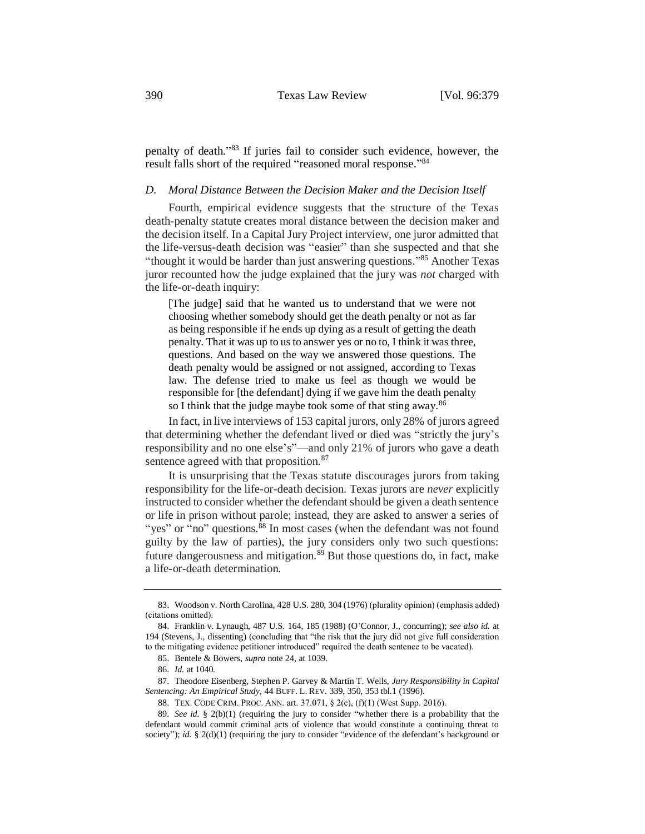penalty of death." <sup>83</sup> If juries fail to consider such evidence, however, the result falls short of the required "reasoned moral response."<sup>84</sup>

## *D. Moral Distance Between the Decision Maker and the Decision Itself*

Fourth, empirical evidence suggests that the structure of the Texas death-penalty statute creates moral distance between the decision maker and the decision itself. In a Capital Jury Project interview, one juror admitted that the life-versus-death decision was "easier" than she suspected and that she "thought it would be harder than just answering questions."<sup>85</sup> Another Texas juror recounted how the judge explained that the jury was *not* charged with the life-or-death inquiry:

<span id="page-11-1"></span><span id="page-11-0"></span>[The judge] said that he wanted us to understand that we were not choosing whether somebody should get the death penalty or not as far as being responsible if he ends up dying as a result of getting the death penalty. That it was up to us to answer yes or no to, I think it was three, questions. And based on the way we answered those questions. The death penalty would be assigned or not assigned, according to Texas law. The defense tried to make us feel as though we would be responsible for [the defendant] dying if we gave him the death penalty so I think that the judge maybe took some of that sting away.<sup>86</sup>

In fact, in live interviews of 153 capital jurors, only 28% of jurors agreed that determining whether the defendant lived or died was "strictly the jury's responsibility and no one else's"—and only 21% of jurors who gave a death sentence agreed with that proposition.<sup>87</sup>

It is unsurprising that the Texas statute discourages jurors from taking responsibility for the life-or-death decision. Texas jurors are *never* explicitly instructed to consider whether the defendant should be given a death sentence or life in prison without parole; instead, they are asked to answer a series of "yes" or  $\sin$  questions.<sup>88</sup> In most cases (when the defendant was not found guilty by the law of parties), the jury considers only two such questions: future dangerousness and mitigation.<sup>89</sup> But those questions do, in fact, make a life-or-death determination.

<sup>83.</sup> Woodson v. North Carolina, 428 U.S. 280, 304 (1976) (plurality opinion) (emphasis added) (citations omitted).

<sup>84.</sup> Franklin v. Lynaugh, 487 U.S. 164, 185 (1988) (O'Connor, J., concurring); *see also id.* at 194 (Stevens, J., dissenting) (concluding that "the risk that the jury did not give full consideration to the mitigating evidence petitioner introduced" required the death sentence to be vacated).

<sup>85.</sup> Bentele & Bowers, *supra* note 24, at 1039.

<sup>86.</sup> *Id.* at 1040.

<sup>87.</sup> Theodore Eisenberg, Stephen P. Garvey & Martin T. Wells, *Jury Responsibility in Capital Sentencing: An Empirical Study*, 44 BUFF. L. REV. 339, 350, 353 tbl.1 (1996).

<sup>88.</sup> TEX. CODE CRIM. PROC. ANN. art. 37.071, § 2(c), (f)(1) (West Supp. 2016).

<sup>89.</sup> *See id.* § 2(b)(1) (requiring the jury to consider "whether there is a probability that the defendant would commit criminal acts of violence that would constitute a continuing threat to society"); *id.* § 2(d)(1) (requiring the jury to consider "evidence of the defendant's background or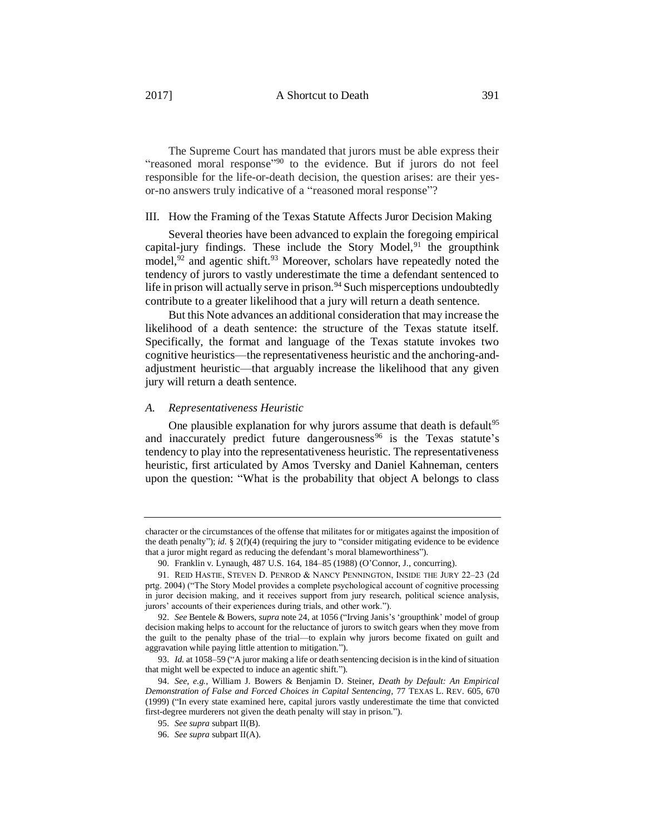The Supreme Court has mandated that jurors must be able express their "reasoned moral response"<sup>90</sup> to the evidence. But if jurors do not feel responsible for the life-or-death decision, the question arises: are their yesor-no answers truly indicative of a "reasoned moral response"?

### III. How the Framing of the Texas Statute Affects Juror Decision Making

Several theories have been advanced to explain the foregoing empirical capital-jury findings. These include the Story Model, $91$  the groupthink model,  $92$  and agentic shift.  $93$  Moreover, scholars have repeatedly noted the tendency of jurors to vastly underestimate the time a defendant sentenced to life in prison will actually serve in prison.<sup>94</sup> Such misperceptions undoubtedly contribute to a greater likelihood that a jury will return a death sentence.

But this Note advances an additional consideration that may increase the likelihood of a death sentence: the structure of the Texas statute itself. Specifically, the format and language of the Texas statute invokes two cognitive heuristics—the representativeness heuristic and the anchoring-andadjustment heuristic—that arguably increase the likelihood that any given jury will return a death sentence.

#### *A. Representativeness Heuristic*

One plausible explanation for why jurors assume that death is default<sup>95</sup> and inaccurately predict future dangerousness<sup>96</sup> is the Texas statute's tendency to play into the representativeness heuristic. The representativeness heuristic, first articulated by Amos Tversky and Daniel Kahneman, centers upon the question: "What is the probability that object A belongs to class

character or the circumstances of the offense that militates for or mitigates against the imposition of the death penalty"); *id.* § 2(f)(4) (requiring the jury to "consider mitigating evidence to be evidence that a juror might regard as reducing the defendant's moral blameworthiness").

<sup>90.</sup> Franklin v. Lynaugh, 487 U.S. 164, 184–85 (1988) (O'Connor, J., concurring).

<sup>91.</sup> REID HASTIE, STEVEN D. PENROD & NANCY PENNINGTON, INSIDE THE JURY 22–23 (2d prtg. 2004) ("The Story Model provides a complete psychological account of cognitive processing in juror decision making, and it receives support from jury research, political science analysis, jurors' accounts of their experiences during trials, and other work.").

<sup>92.</sup> *See* Bentele & Bowers, *supra* note 24, at 1056 ("Irving Janis's 'groupthink' model of group decision making helps to account for the reluctance of jurors to switch gears when they move from the guilt to the penalty phase of the trial—to explain why jurors become fixated on guilt and aggravation while paying little attention to mitigation.").

<sup>93.</sup> *Id.* at 1058–59 ("A juror making a life or death sentencing decision is in the kind of situation that might well be expected to induce an agentic shift.").

<sup>94.</sup> *See, e.g.*, William J. Bowers & Benjamin D. Steiner, *Death by Default: An Empirical Demonstration of False and Forced Choices in Capital Sentencing*, 77 TEXAS L. REV. 605, 670 (1999) ("In every state examined here, capital jurors vastly underestimate the time that convicted first-degree murderers not given the death penalty will stay in prison.").

<sup>95.</sup> *See supra* subpart II(B).

<sup>96.</sup> *See supra* subpart II(A).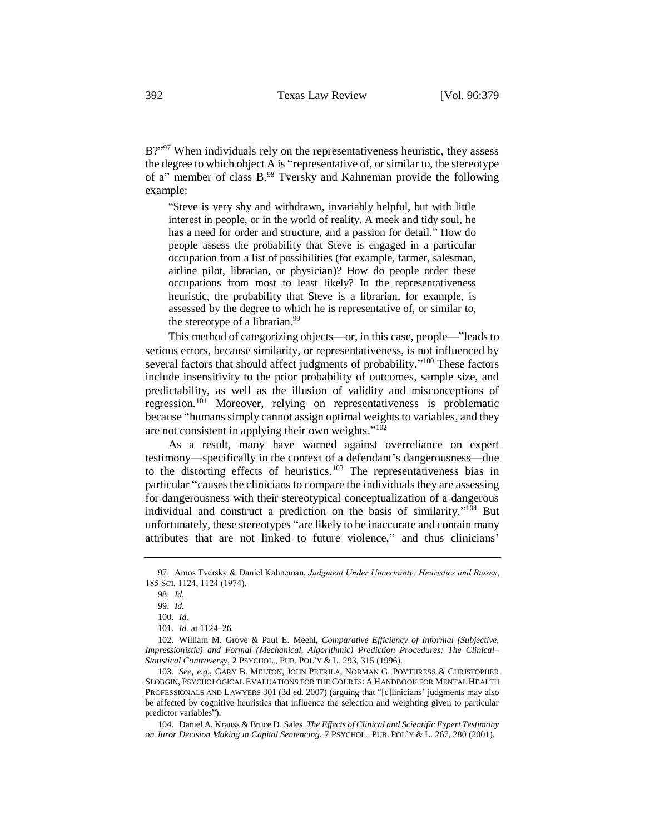<span id="page-13-0"></span>B?"<sup>97</sup> When individuals rely on the representativeness heuristic, they assess the degree to which object A is "representative of, or similar to, the stereotype of a" member of class B.<sup>98</sup> Tversky and Kahneman provide the following example:

"Steve is very shy and withdrawn, invariably helpful, but with little interest in people, or in the world of reality. A meek and tidy soul, he has a need for order and structure, and a passion for detail." How do people assess the probability that Steve is engaged in a particular occupation from a list of possibilities (for example, farmer, salesman, airline pilot, librarian, or physician)? How do people order these occupations from most to least likely? In the representativeness heuristic, the probability that Steve is a librarian, for example, is assessed by the degree to which he is representative of, or similar to, the stereotype of a librarian.<sup>99</sup>

This method of categorizing objects—or, in this case, people—"leads to serious errors, because similarity, or representativeness, is not influenced by several factors that should affect judgments of probability."<sup>100</sup> These factors include insensitivity to the prior probability of outcomes, sample size, and predictability, as well as the illusion of validity and misconceptions of regression.<sup>101</sup> Moreover, relying on representativeness is problematic because "humans simply cannot assign optimal weights to variables, and they are not consistent in applying their own weights."<sup>102</sup>

As a result, many have warned against overreliance on expert testimony—specifically in the context of a defendant's dangerousness—due to the distorting effects of heuristics.<sup>103</sup> The representativeness bias in particular "causes the clinicians to compare the individuals they are assessing for dangerousness with their stereotypical conceptualization of a dangerous individual and construct a prediction on the basis of similarity." <sup>104</sup> But unfortunately, these stereotypes "are likely to be inaccurate and contain many attributes that are not linked to future violence," and thus clinicians'

103. *See, e.g.*, GARY B. MELTON, JOHN PETRILA, NORMAN G. POYTHRESS & CHRISTOPHER SLOBGIN, PSYCHOLOGICAL EVALUATIONS FOR THE COURTS: A HANDBOOK FOR MENTAL HEALTH PROFESSIONALS AND LAWYERS 301 (3d ed. 2007) (arguing that "[c]linicians' judgments may also be affected by cognitive heuristics that influence the selection and weighting given to particular predictor variables").

104. Daniel A. Krauss & Bruce D. Sales, *The Effects of Clinical and Scientific Expert Testimony on Juror Decision Making in Capital Sentencing*, 7 PSYCHOL., PUB. POL'Y & L. 267, 280 (2001).

<sup>97.</sup> Amos Tversky & Daniel Kahneman, *Judgment Under Uncertainty: Heuristics and Biases*, 185 SCI. 1124, 1124 (1974).

<sup>98.</sup> *Id.*

<sup>99.</sup> *Id.*

<sup>100.</sup> *Id.*

<sup>101.</sup> *Id.* at 1124–26.

<sup>102.</sup> William M. Grove & Paul E. Meehl, *Comparative Efficiency of Informal (Subjective, Impressionistic) and Formal (Mechanical, Algorithmic) Prediction Procedures: The Clinical– Statistical Controversy*, 2 PSYCHOL., PUB. POL'Y & L. 293, 315 (1996).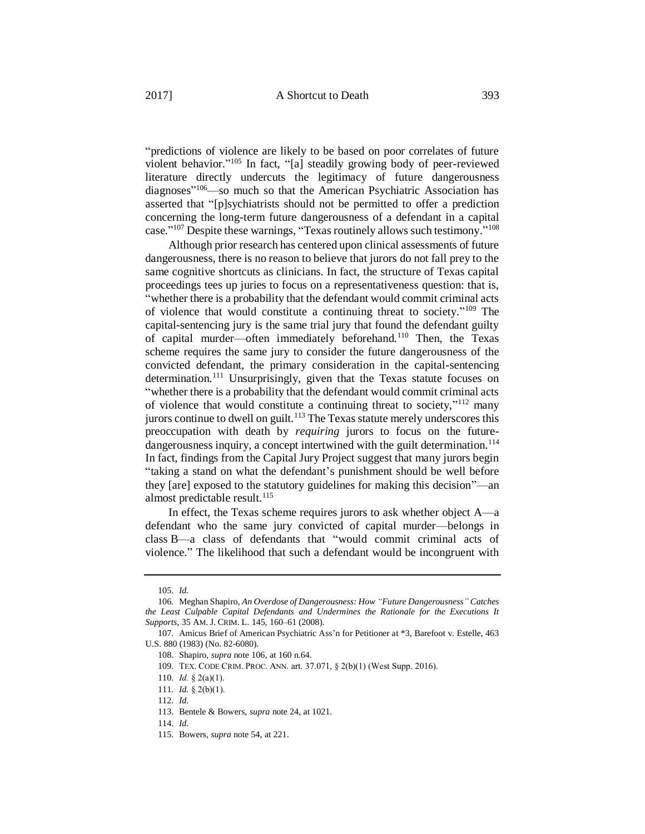<span id="page-14-0"></span>"predictions of violence are likely to be based on poor correlates of future violent behavior." <sup>105</sup> In fact, "[a] steadily growing body of peer-reviewed literature directly undercuts the legitimacy of future dangerousness diagnoses" <sup>106</sup>—so much so that the American Psychiatric Association has asserted that "[p]sychiatrists should not be permitted to offer a prediction concerning the long-term future dangerousness of a defendant in a capital case."<sup>107</sup> Despite these warnings, "Texas routinely allows such testimony."<sup>108</sup>

Although prior research has centered upon clinical assessments of future dangerousness, there is no reason to believe that jurors do not fall prey to the same cognitive shortcuts as clinicians. In fact, the structure of Texas capital proceedings tees up juries to focus on a representativeness question: that is, "whether there is a probability that the defendant would commit criminal acts of violence that would constitute a continuing threat to society."<sup>109</sup> The capital-sentencing jury is the same trial jury that found the defendant guilty of capital murder—often immediately beforehand.<sup>110</sup> Then, the Texas scheme requires the same jury to consider the future dangerousness of the convicted defendant, the primary consideration in the capital-sentencing determination.<sup>111</sup> Unsurprisingly, given that the Texas statute focuses on "whether there is a probability that the defendant would commit criminal acts of violence that would constitute a continuing threat to society,"<sup>112</sup> many jurors continue to dwell on guilt.<sup>113</sup> The Texas statute merely underscores this preoccupation with death by *requiring* jurors to focus on the futuredangerousness inquiry, a concept intertwined with the guilt determination.<sup>114</sup> In fact, findings from the Capital Jury Project suggest that many jurors begin "taking a stand on what the defendant's punishment should be well before they [are] exposed to the statutory guidelines for making this decision"—an almost predictable result.<sup>115</sup>

In effect, the Texas scheme requires jurors to ask whether object A—a defendant who the same jury convicted of capital murder—belongs in class B—a class of defendants that "would commit criminal acts of violence." The likelihood that such a defendant would be incongruent with

<sup>105.</sup> *Id.*

<sup>106.</sup> Meghan Shapiro, *An Overdose of Dangerousness: How "Future Dangerousness" Catches the Least Culpable Capital Defendants and Undermines the Rationale for the Executions It Supports*, 35 AM. J. CRIM. L. 145, 160–61 (2008).

<sup>107.</sup> Amicus Brief of American Psychiatric Ass'n for Petitioner at \*3, Barefoot v. Estelle, 463 U.S. 880 (1983) (No. 82-6080).

<sup>108.</sup> Shapiro, *supra* note [106,](#page-14-0) at 160 n.64.

<sup>109.</sup> TEX. CODE CRIM. PROC. ANN. art. 37.071, § 2(b)(1) (West Supp. 2016).

<sup>110.</sup> *Id.* § 2(a)(1).

<sup>111.</sup> *Id.* § 2(b)(1).

<sup>112.</sup> *Id.*

<sup>113.</sup> Bentele & Bowers, *supra* note 24, at 1021.

<sup>114.</sup> *Id.*

<sup>115.</sup> Bowers, *supra* note 54, at 221.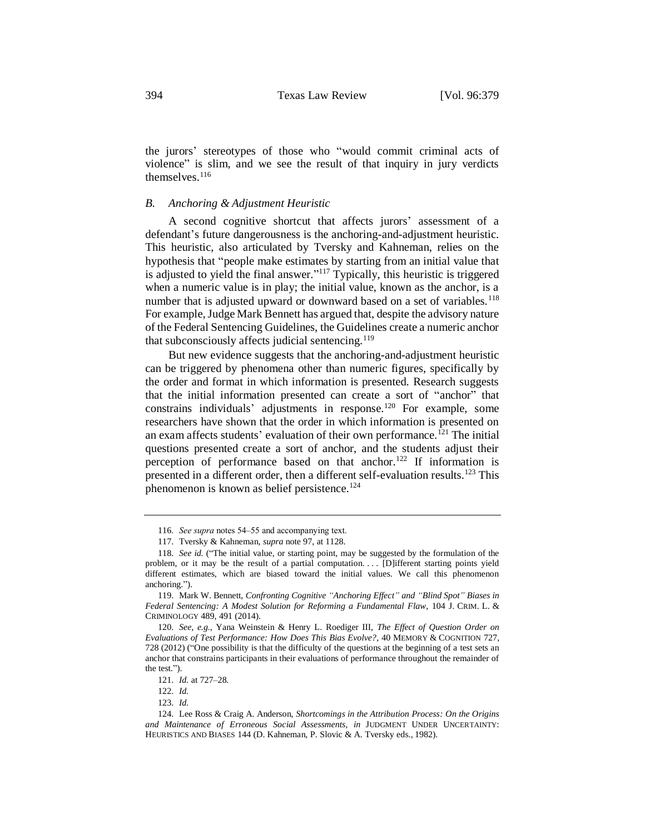the jurors' stereotypes of those who "would commit criminal acts of violence" is slim, and we see the result of that inquiry in jury verdicts themselves.<sup>116</sup>

## *B. Anchoring & Adjustment Heuristic*

A second cognitive shortcut that affects jurors' assessment of a defendant's future dangerousness is the anchoring-and-adjustment heuristic. This heuristic, also articulated by Tversky and Kahneman, relies on the hypothesis that "people make estimates by starting from an initial value that is adjusted to yield the final answer." <sup>117</sup> Typically, this heuristic is triggered when a numeric value is in play; the initial value, known as the anchor, is a number that is adjusted upward or downward based on a set of variables.<sup>118</sup> For example, Judge Mark Bennett has argued that, despite the advisory nature of the Federal Sentencing Guidelines, the Guidelines create a numeric anchor that subconsciously affects judicial sentencing.<sup>119</sup>

But new evidence suggests that the anchoring-and-adjustment heuristic can be triggered by phenomena other than numeric figures, specifically by the order and format in which information is presented. Research suggests that the initial information presented can create a sort of "anchor" that constrains individuals' adjustments in response.<sup>120</sup> For example, some researchers have shown that the order in which information is presented on an exam affects students' evaluation of their own performance.<sup>121</sup> The initial questions presented create a sort of anchor, and the students adjust their perception of performance based on that anchor.<sup>122</sup> If information is presented in a different order, then a different self-evaluation results.<sup>123</sup> This phenomenon is known as belief persistence.<sup>124</sup>

<sup>116.</sup> *See supra* notes 54–55 and accompanying text.

<sup>117.</sup> Tversky & Kahneman, *supra* note [97,](#page-13-0) at 1128.

<sup>118.</sup> *See id.* ("The initial value, or starting point, may be suggested by the formulation of the problem, or it may be the result of a partial computation. . . . [D]ifferent starting points yield different estimates, which are biased toward the initial values. We call this phenomenon anchoring.").

<sup>119.</sup> Mark W. Bennett, *Confronting Cognitive "Anchoring Effect" and "Blind Spot" Biases in Federal Sentencing: A Modest Solution for Reforming a Fundamental Flaw*, 104 J. CRIM. L. & CRIMINOLOGY 489, 491 (2014).

<sup>120.</sup> *See, e.g.*, Yana Weinstein & Henry L. Roediger III, *The Effect of Question Order on Evaluations of Test Performance: How Does This Bias Evolve?*, 40 MEMORY & COGNITION 727, 728 (2012) ("One possibility is that the difficulty of the questions at the beginning of a test sets an anchor that constrains participants in their evaluations of performance throughout the remainder of the test.").

<sup>121.</sup> *Id.* at 727–28.

<sup>122.</sup> *Id.*

<sup>123.</sup> *Id.*

<sup>124.</sup> Lee Ross & Craig A. Anderson, *Shortcomings in the Attribution Process: On the Origins and Maintenance of Erroneous Social Assessments*, *in* JUDGMENT UNDER UNCERTAINTY: HEURISTICS AND BIASES 144 (D. Kahneman, P. Slovic & A. Tversky eds., 1982).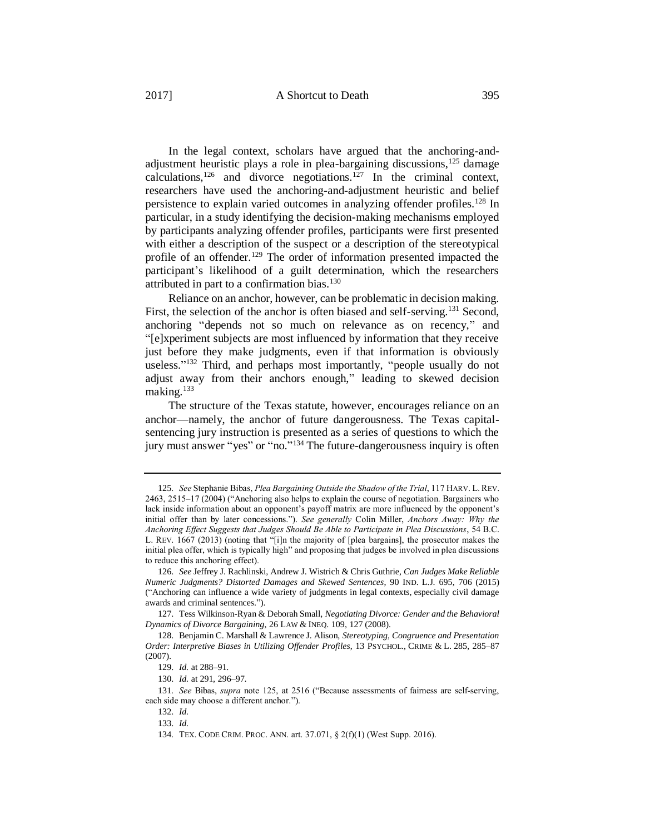In the legal context, scholars have argued that the anchoring-andadjustment heuristic plays a role in plea-bargaining discussions,  $^{125}$  damage calculations,<sup>126</sup> and divorce negotiations.<sup>127</sup> In the criminal context, researchers have used the anchoring-and-adjustment heuristic and belief persistence to explain varied outcomes in analyzing offender profiles.<sup>128</sup> In particular, in a study identifying the decision-making mechanisms employed by participants analyzing offender profiles, participants were first presented

with either a description of the suspect or a description of the stereotypical profile of an offender.<sup>129</sup> The order of information presented impacted the participant's likelihood of a guilt determination, which the researchers attributed in part to a confirmation bias.<sup>130</sup>

Reliance on an anchor, however, can be problematic in decision making. First, the selection of the anchor is often biased and self-serving.<sup>131</sup> Second, anchoring "depends not so much on relevance as on recency," and "[e]xperiment subjects are most influenced by information that they receive just before they make judgments, even if that information is obviously useless."<sup>132</sup> Third, and perhaps most importantly, "people usually do not adjust away from their anchors enough," leading to skewed decision making.<sup>133</sup>

The structure of the Texas statute, however, encourages reliance on an anchor—namely, the anchor of future dangerousness. The Texas capitalsentencing jury instruction is presented as a series of questions to which the jury must answer "yes" or "no."<sup>134</sup> The future-dangerousness inquiry is often

<sup>125.</sup> *See* Stephanie Bibas, *Plea Bargaining Outside the Shadow of the Trial*, 117 HARV. L.REV. 2463, 2515–17 (2004) ("Anchoring also helps to explain the course of negotiation. Bargainers who lack inside information about an opponent's payoff matrix are more influenced by the opponent's initial offer than by later concessions."). *See generally* Colin Miller, *Anchors Away: Why the Anchoring Effect Suggests that Judges Should Be Able to Participate in Plea Discussions*, 54 B.C. L. REV. 1667 (2013) (noting that "[i]n the majority of [plea bargains], the prosecutor makes the initial plea offer, which is typically high" and proposing that judges be involved in plea discussions to reduce this anchoring effect).

<sup>126.</sup> *See* Jeffrey J. Rachlinski, Andrew J. Wistrich & Chris Guthrie, *Can Judges Make Reliable Numeric Judgments? Distorted Damages and Skewed Sentences*, 90 IND. L.J. 695, 706 (2015) ("Anchoring can influence a wide variety of judgments in legal contexts, especially civil damage awards and criminal sentences.").

<sup>127.</sup> Tess Wilkinson-Ryan & Deborah Small, *Negotiating Divorce: Gender and the Behavioral Dynamics of Divorce Bargaining*, 26 LAW & INEQ. 109, 127 (2008).

<sup>128.</sup> Benjamin C. Marshall & Lawrence J. Alison, *Stereotyping, Congruence and Presentation Order: Interpretive Biases in Utilizing Offender Profiles*, 13 PSYCHOL., CRIME & L. 285, 285–87 (2007).

<sup>129.</sup> *Id.* at 288–91.

<sup>130.</sup> *Id.* at 291, 296–97.

<sup>131.</sup> *See* Bibas, *supra* note 125, at 2516 ("Because assessments of fairness are self-serving, each side may choose a different anchor.").

<sup>132.</sup> *Id.*

<sup>133.</sup> *Id.*

<sup>134.</sup> TEX. CODE CRIM. PROC. ANN. art. 37.071, § 2(f)(1) (West Supp. 2016).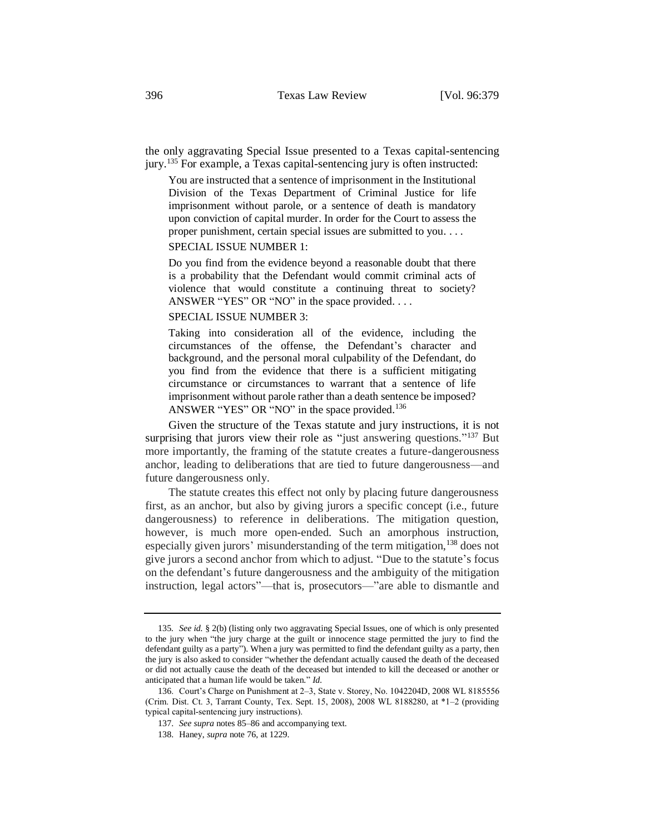the only aggravating Special Issue presented to a Texas capital-sentencing jury.<sup>135</sup> For example, a Texas capital-sentencing jury is often instructed:

You are instructed that a sentence of imprisonment in the Institutional Division of the Texas Department of Criminal Justice for life imprisonment without parole, or a sentence of death is mandatory upon conviction of capital murder. In order for the Court to assess the proper punishment, certain special issues are submitted to you. . . .

#### SPECIAL ISSUE NUMBER 1:

Do you find from the evidence beyond a reasonable doubt that there is a probability that the Defendant would commit criminal acts of violence that would constitute a continuing threat to society? ANSWER "YES" OR "NO" in the space provided. . . .

#### SPECIAL ISSUE NUMBER 3:

Taking into consideration all of the evidence, including the circumstances of the offense, the Defendant's character and background, and the personal moral culpability of the Defendant, do you find from the evidence that there is a sufficient mitigating circumstance or circumstances to warrant that a sentence of life imprisonment without parole rather than a death sentence be imposed? ANSWER "YES" OR "NO" in the space provided.<sup>136</sup>

Given the structure of the Texas statute and jury instructions, it is not surprising that jurors view their role as "just answering questions."<sup>137</sup> But more importantly, the framing of the statute creates a future-dangerousness anchor, leading to deliberations that are tied to future dangerousness—and future dangerousness only.

The statute creates this effect not only by placing future dangerousness first, as an anchor, but also by giving jurors a specific concept (i.e., future dangerousness) to reference in deliberations. The mitigation question, however, is much more open-ended. Such an amorphous instruction, especially given jurors' misunderstanding of the term mitigation,<sup>138</sup> does not give jurors a second anchor from which to adjust. "Due to the statute's focus on the defendant's future dangerousness and the ambiguity of the mitigation instruction, legal actors"—that is, prosecutors—"are able to dismantle and

<sup>135</sup>*. See id.* § 2(b) (listing only two aggravating Special Issues, one of which is only presented to the jury when "the jury charge at the guilt or innocence stage permitted the jury to find the defendant guilty as a party"). When a jury was permitted to find the defendant guilty as a party, then the jury is also asked to consider "whether the defendant actually caused the death of the deceased or did not actually cause the death of the deceased but intended to kill the deceased or another or anticipated that a human life would be taken." *Id.*

<sup>136.</sup> Court's Charge on Punishment at 2–3, State v. Storey, No. 1042204D, 2008 WL 8185556 (Crim. Dist. Ct. 3, Tarrant County, Tex. Sept. 15, 2008), 2008 WL 8188280, at \*1–2 (providing typical capital-sentencing jury instructions).

<sup>137.</sup> *See supra* note[s 85–](#page-11-0)[86](#page-11-1) and accompanying text.

<sup>138.</sup> Haney, *supra* not[e 76,](#page-10-0) at 1229.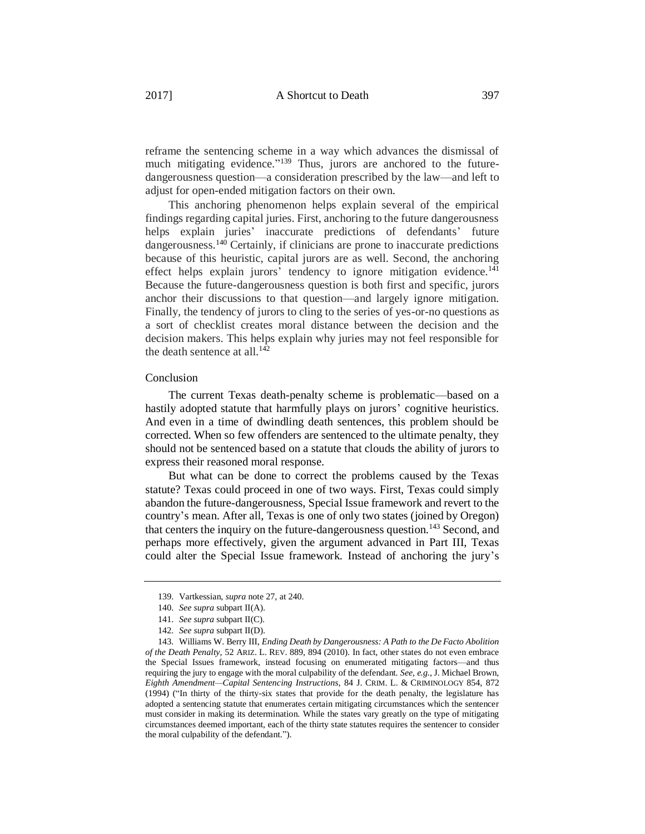reframe the sentencing scheme in a way which advances the dismissal of much mitigating evidence."<sup>139</sup> Thus, jurors are anchored to the futuredangerousness question—a consideration prescribed by the law—and left to adjust for open-ended mitigation factors on their own.

This anchoring phenomenon helps explain several of the empirical findings regarding capital juries. First, anchoring to the future dangerousness helps explain juries' inaccurate predictions of defendants' future dangerousness.<sup>140</sup> Certainly, if clinicians are prone to inaccurate predictions because of this heuristic, capital jurors are as well. Second, the anchoring effect helps explain jurors' tendency to ignore mitigation evidence.<sup>141</sup> Because the future-dangerousness question is both first and specific, jurors anchor their discussions to that question—and largely ignore mitigation. Finally, the tendency of jurors to cling to the series of yes-or-no questions as a sort of checklist creates moral distance between the decision and the decision makers. This helps explain why juries may not feel responsible for the death sentence at all. $142$ 

## Conclusion

The current Texas death-penalty scheme is problematic—based on a hastily adopted statute that harmfully plays on jurors' cognitive heuristics. And even in a time of dwindling death sentences, this problem should be corrected. When so few offenders are sentenced to the ultimate penalty, they should not be sentenced based on a statute that clouds the ability of jurors to express their reasoned moral response.

But what can be done to correct the problems caused by the Texas statute? Texas could proceed in one of two ways. First, Texas could simply abandon the future-dangerousness, Special Issue framework and revert to the country's mean. After all, Texas is one of only two states (joined by Oregon) that centers the inquiry on the future-dangerousness question.<sup>143</sup> Second, and perhaps more effectively, given the argument advanced in Part III, Texas could alter the Special Issue framework. Instead of anchoring the jury's

<sup>139.</sup> Vartkessian, *supra* note 27, at 240.

<sup>140.</sup> *See supra* subpart II(A).

<sup>141.</sup> *See supra* subpart II(C).

<sup>142.</sup> *See supra* subpart II(D).

<sup>143.</sup> Williams W. Berry III, *Ending Death by Dangerousness: A Path to the De Facto Abolition of the Death Penalty*, 52 ARIZ. L. REV. 889, 894 (2010). In fact, other states do not even embrace the Special Issues framework, instead focusing on enumerated mitigating factors—and thus requiring the jury to engage with the moral culpability of the defendant. *See, e.g.*, J. Michael Brown, *Eighth Amendment—Capital Sentencing Instructions*, 84 J. CRIM. L. & CRIMINOLOGY 854, 872 (1994) ("In thirty of the thirty-six states that provide for the death penalty, the legislature has adopted a sentencing statute that enumerates certain mitigating circumstances which the sentencer must consider in making its determination. While the states vary greatly on the type of mitigating circumstances deemed important, each of the thirty state statutes requires the sentencer to consider the moral culpability of the defendant.").